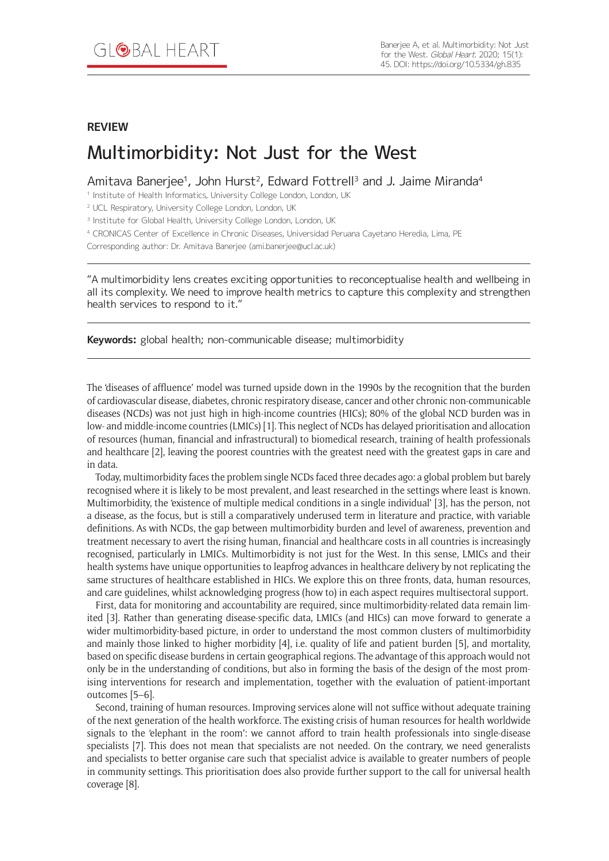### **REVIEW**

# Multimorbidity: Not Just for the West

Amitava Banerjee<sup>1</sup>, John Hurst<sup>2</sup>, Edward Fottrell<sup>3</sup> and J. Jaime Miranda<sup>4</sup>

<sup>1</sup> Institute of Health Informatics, University College London, London, UK

<sup>2</sup> UCL Respiratory, University College London, London, UK

<sup>3</sup> Institute for Global Health, University College London, London, UK

<sup>4</sup> CRONICAS Center of Excellence in Chronic Diseases, Universidad Peruana Cayetano Heredia, Lima, PE

Corresponding author: Dr. Amitava Banerjee [\(ami.banerjee@ucl.ac.uk](mailto:ami.banerjee@ucl.ac.uk))

"A multimorbidity lens creates exciting opportunities to reconceptualise health and wellbeing in all its complexity. We need to improve health metrics to capture this complexity and strengthen health services to respond to it."

**Keywords:** global health; non-communicable disease; multimorbidity

The 'diseases of affluence' model was turned upside down in the 1990s by the recognition that the burden of cardiovascular disease, diabetes, chronic respiratory disease, cancer and other chronic non-communicable diseases (NCDs) was not just high in high-income countries (HICs); 80% of the global NCD burden was in low- and middle-income countries (LMICs) [1]. This neglect of NCDs has delayed prioritisation and allocation of resources (human, financial and infrastructural) to biomedical research, training of health professionals and healthcare [2], leaving the poorest countries with the greatest need with the greatest gaps in care and in data.

Today, multimorbidity faces the problem single NCDs faced three decades ago: a global problem but barely recognised where it is likely to be most prevalent, and least researched in the settings where least is known. Multimorbidity, the 'existence of multiple medical conditions in a single individual' [3], has the person, not a disease, as the focus, but is still a comparatively underused term in literature and practice, with variable definitions. As with NCDs, the gap between multimorbidity burden and level of awareness, prevention and treatment necessary to avert the rising human, financial and healthcare costs in all countries is increasingly recognised, particularly in LMICs. Multimorbidity is not just for the West. In this sense, LMICs and their health systems have unique opportunities to leapfrog advances in healthcare delivery by not replicating the same structures of healthcare established in HICs. We explore this on three fronts, data, human resources, and care guidelines, whilst acknowledging progress (how to) in each aspect requires multisectoral support.

First, data for monitoring and accountability are required, since multimorbidity-related data remain limited [3]. Rather than generating disease-specific data, LMICs (and HICs) can move forward to generate a wider multimorbidity-based picture, in order to understand the most common clusters of multimorbidity and mainly those linked to higher morbidity [4], i.e. quality of life and patient burden [5], and mortality, based on specific disease burdens in certain geographical regions. The advantage of this approach would not only be in the understanding of conditions, but also in forming the basis of the design of the most promising interventions for research and implementation, together with the evaluation of patient-important outcomes [5–6].

Second, training of human resources. Improving services alone will not suffice without adequate training of the next generation of the health workforce. The existing crisis of human resources for health worldwide signals to the 'elephant in the room': we cannot afford to train health professionals into single-disease specialists [7]. This does not mean that specialists are not needed. On the contrary, we need generalists and specialists to better organise care such that specialist advice is available to greater numbers of people in community settings. This prioritisation does also provide further support to the call for universal health coverage [8].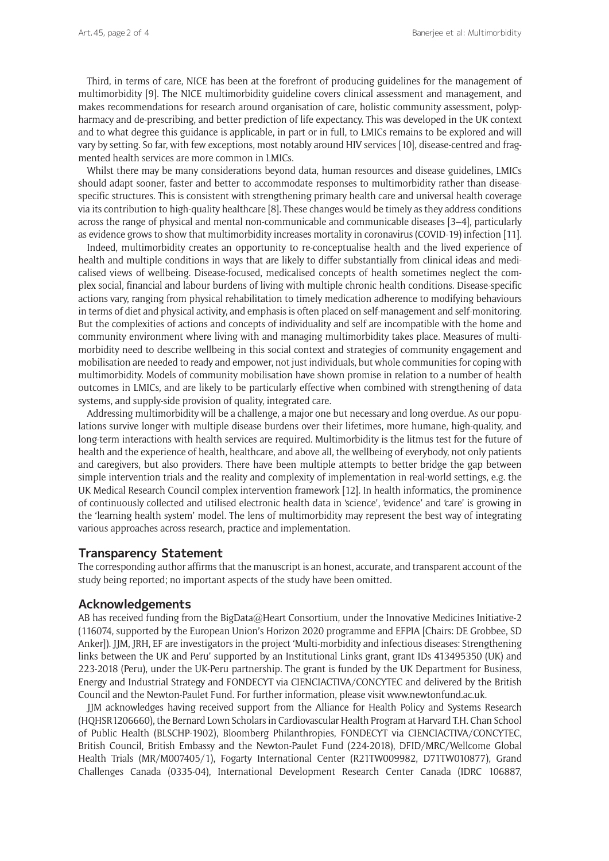Third, in terms of care, NICE has been at the forefront of producing guidelines for the management of multimorbidity [9]. The NICE multimorbidity guideline covers clinical assessment and management, and makes recommendations for research around organisation of care, holistic community assessment, polypharmacy and de-prescribing, and better prediction of life expectancy. This was developed in the UK context and to what degree this guidance is applicable, in part or in full, to LMICs remains to be explored and will vary by setting. So far, with few exceptions, most notably around HIV services [10], disease-centred and fragmented health services are more common in LMICs.

Whilst there may be many considerations beyond data, human resources and disease guidelines, LMICs should adapt sooner, faster and better to accommodate responses to multimorbidity rather than diseasespecific structures. This is consistent with strengthening primary health care and universal health coverage via its contribution to high-quality healthcare [8]. These changes would be timely as they address conditions across the range of physical and mental non-communicable and communicable diseases [3–4], particularly as evidence grows to show that multimorbidity increases mortality in coronavirus (COVID-19) infection [11].

Indeed, multimorbidity creates an opportunity to re-conceptualise health and the lived experience of health and multiple conditions in ways that are likely to differ substantially from clinical ideas and medicalised views of wellbeing. Disease-focused, medicalised concepts of health sometimes neglect the complex social, financial and labour burdens of living with multiple chronic health conditions. Disease-specific actions vary, ranging from physical rehabilitation to timely medication adherence to modifying behaviours in terms of diet and physical activity, and emphasis is often placed on self-management and self-monitoring. But the complexities of actions and concepts of individuality and self are incompatible with the home and community environment where living with and managing multimorbidity takes place. Measures of multimorbidity need to describe wellbeing in this social context and strategies of community engagement and mobilisation are needed to ready and empower, not just individuals, but whole communities for coping with multimorbidity. Models of community mobilisation have shown promise in relation to a number of health outcomes in LMICs, and are likely to be particularly effective when combined with strengthening of data systems, and supply-side provision of quality, integrated care.

Addressing multimorbidity will be a challenge, a major one but necessary and long overdue. As our populations survive longer with multiple disease burdens over their lifetimes, more humane, high-quality, and long-term interactions with health services are required. Multimorbidity is the litmus test for the future of health and the experience of health, healthcare, and above all, the wellbeing of everybody, not only patients and caregivers, but also providers. There have been multiple attempts to better bridge the gap between simple intervention trials and the reality and complexity of implementation in real-world settings, e.g. the UK Medical Research Council complex intervention framework [12]. In health informatics, the prominence of continuously collected and utilised electronic health data in 'science', 'evidence' and 'care' is growing in the 'learning health system' model. The lens of multimorbidity may represent the best way of integrating various approaches across research, practice and implementation.

#### **Transparency Statement**

The corresponding author affirms that the manuscript is an honest, accurate, and transparent account of the study being reported; no important aspects of the study have been omitted.

#### **Acknowledgements**

AB has received funding from the BigData@Heart Consortium, under the Innovative Medicines Initiative-2 (116074, supported by the European Union's Horizon 2020 programme and EFPIA [Chairs: DE Grobbee, SD Anker]). JJM, JRH, EF are investigators in the project 'Multi-morbidity and infectious diseases: Strengthening links between the UK and Peru' supported by an Institutional Links grant, grant IDs 413495350 (UK) and 223-2018 (Peru), under the UK-Peru partnership. The grant is funded by the UK Department for Business, Energy and Industrial Strategy and FONDECYT via CIENCIACTIVA/CONCYTEC and delivered by the British Council and the Newton-Paulet Fund. For further information, please visit [www.newtonfund.ac.uk](http://www.newtonfund.ac.uk).

JJM acknowledges having received support from the Alliance for Health Policy and Systems Research (HQHSR1206660), the Bernard Lown Scholars in Cardiovascular Health Program at Harvard T.H. Chan School of Public Health (BLSCHP-1902), Bloomberg Philanthropies, FONDECYT via CIENCIACTIVA/CONCYTEC, British Council, British Embassy and the Newton-Paulet Fund (224-2018), DFID/MRC/Wellcome Global Health Trials (MR/M007405/1), Fogarty International Center (R21TW009982, D71TW010877), Grand Challenges Canada (0335-04), International Development Research Center Canada (IDRC 106887,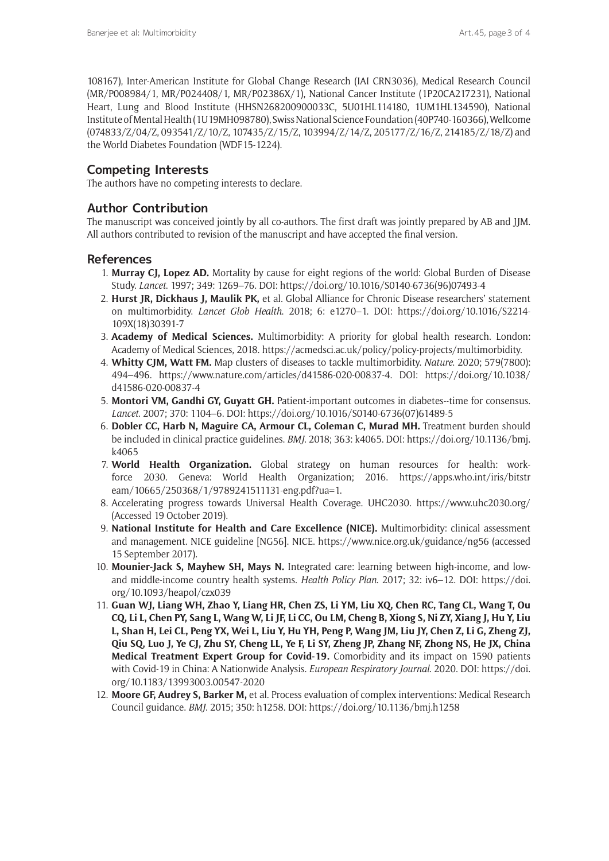108167), Inter-American Institute for Global Change Research (IAI CRN3036), Medical Research Council (MR/P008984/1, MR/P024408/1, MR/P02386X/1), National Cancer Institute (1P20CA217231), National Heart, Lung and Blood Institute (HHSN268200900033C, 5U01HL114180, 1UM1HL134590), National Institute of Mental Health (1U19MH098780), Swiss National Science Foundation (40P740-160366), Wellcome (074833/Z/04/Z, 093541/Z/10/Z, 107435/Z/15/Z, 103994/Z/14/Z, 205177/Z/16/Z, 214185/Z/18/Z) and the World Diabetes Foundation (WDF15-1224).

## **Competing Interests**

The authors have no competing interests to declare.

# **Author Contribution**

The manuscript was conceived jointly by all co-authors. The first draft was jointly prepared by AB and JJM. All authors contributed to revision of the manuscript and have accepted the final version.

## **References**

- 1. **Murray CJ, Lopez AD.** Mortality by cause for eight regions of the world: Global Burden of Disease Study. *Lancet*. 1997; 349: 1269–76. DOI: [https://doi.org/10.1016/S0140-6736\(96\)07493-4](https://doi.org/10.1016/S0140-6736(96)07493-4)
- 2. **Hurst JR, Dickhaus J, Maulik PK,** et al. Global Alliance for Chronic Disease researchers' statement on multimorbidity. *Lancet Glob Health*. 2018; 6: e1270–1. DOI: [https://doi.org/10.1016/S2214-](https://doi.org/10.1016/S2214-109X(18)30391-7) [109X\(18\)30391-7](https://doi.org/10.1016/S2214-109X(18)30391-7)
- 3. **Academy of Medical Sciences.** Multimorbidity: A priority for global health research. London: Academy of Medical Sciences, 2018. [https://acmedsci.ac.uk/policy/policy-projects/multimorbidity.](https://acmedsci.ac.uk/policy/policy-projects/multimorbidity)
- 4. **Whitty CJM, Watt FM.** Map clusters of diseases to tackle multimorbidity. *Nature*. 2020; 579(7800): 494–496. [https://www.nature.com/articles/d41586-020-00837-4.](https://www.nature.com/articles/d41586-020-00837-4) DOI: [https://doi.org/10.1038/](https://doi.org/10.1038/d41586-020-00837-4) [d41586-020-00837-4](https://doi.org/10.1038/d41586-020-00837-4)
- 5. **Montori VM, Gandhi GY, Guyatt GH.** Patient-important outcomes in diabetes--time for consensus. *Lancet*. 2007; 370: 1104–6. DOI: [https://doi.org/10.1016/S0140-6736\(07\)61489-5](https://doi.org/10.1016/S0140-6736(07)61489-5)
- 6. **Dobler CC, Harb N, Maguire CA, Armour CL, Coleman C, Murad MH.** Treatment burden should be included in clinical practice guidelines. *BMJ*. 2018; 363: k4065. DOI: [https://doi.org/10.1136/bmj.](https://doi.org/10.1136/bmj.k4065) [k4065](https://doi.org/10.1136/bmj.k4065)
- 7. **World Health Organization.** Global strategy on human resources for health: workforce 2030. Geneva: World Health Organization; 2016. [https://apps.who.int/iris/bitstr](https://apps.who.int/iris/bitstream/10665/250368/1/9789241511131-eng.pdf?ua=1) [eam/10665/250368/1/9789241511131-eng.pdf?ua=1](https://apps.who.int/iris/bitstream/10665/250368/1/9789241511131-eng.pdf?ua=1).
- 8. Accelerating progress towards Universal Health Coverage. UHC2030. [https://www.uhc2030.org/](https://www.uhc2030.org/ )  (Accessed 19 October 2019).
- 9. **National Institute for Health and Care Excellence (NICE).** Multimorbidity: clinical assessment and management. NICE guideline [NG56]. NICE. <https://www.nice.org.uk/guidance/ng56> (accessed 15 September 2017).
- 10. **Mounier-Jack S, Mayhew SH, Mays N.** Integrated care: learning between high-income, and lowand middle-income country health systems. *Health Policy Plan*. 2017; 32: iv6–12. DOI: [https://doi.](https://doi.org/10.1093/heapol/czx039) [org/10.1093/heapol/czx039](https://doi.org/10.1093/heapol/czx039)
- 11. **Guan WJ, Liang WH, Zhao Y, Liang HR, Chen ZS, Li YM, Liu XQ, Chen RC, Tang CL, Wang T, Ou CQ, Li L, Chen PY, Sang L, Wang W, Li JF, Li CC, Ou LM, Cheng B, Xiong S, Ni ZY, Xiang J, Hu Y, Liu L, Shan H, Lei CL, Peng YX, Wei L, Liu Y, Hu YH, Peng P, Wang JM, Liu JY, Chen Z, Li G, Zheng ZJ, Qiu SQ, Luo J, Ye CJ, Zhu SY, Cheng LL, Ye F, Li SY, Zheng JP, Zhang NF, Zhong NS, He JX, China Medical Treatment Expert Group for Covid-19.** Comorbidity and its impact on 1590 patients with Covid-19 in China: A Nationwide Analysis. *European Respiratory Journal*. 2020. DOI: [https://doi.](https://doi.org/10.1183/13993003.00547-2020) [org/10.1183/13993003.00547-2020](https://doi.org/10.1183/13993003.00547-2020)
- 12. **Moore GF, Audrey S, Barker M,** et al. Process evaluation of complex interventions: Medical Research Council guidance. *BMJ*. 2015; 350: h1258. DOI:<https://doi.org/10.1136/bmj.h1258>